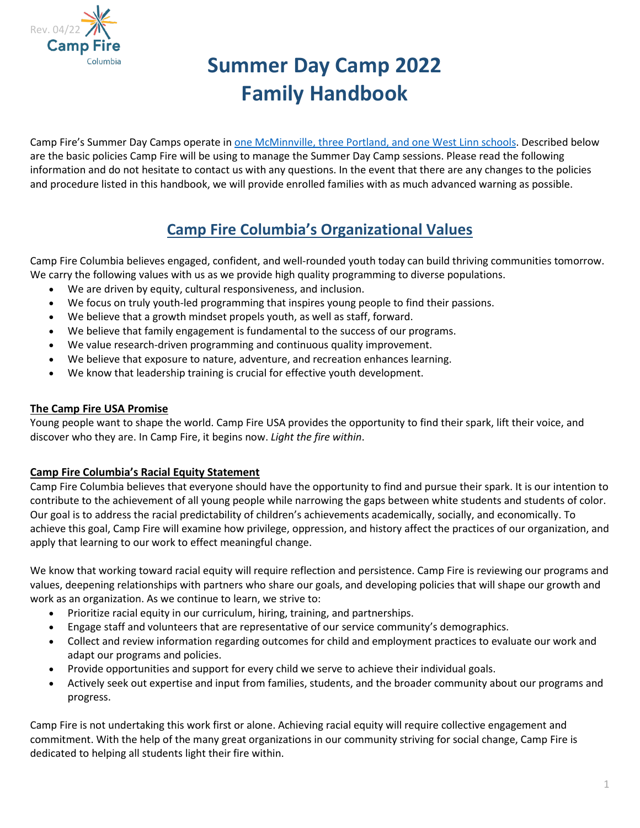

# **Summer Day Camp 2022 Family Handbook**

Camp Fire's Summer Day Camps operate in [one McMinnville, three Portland, and one West Linn schools.](#page-1-0) Described below are the basic policies Camp Fire will be using to manage the Summer Day Camp sessions. Please read the following information and do not hesitate to contact us with any questions. In the event that there are any changes to the policies and procedure listed in this handbook, we will provide enrolled families with as much advanced warning as possible.

### **Camp Fire Columbia's Organizational Values**

Camp Fire Columbia believes engaged, confident, and well-rounded youth today can build thriving communities tomorrow. We carry the following values with us as we provide high quality programming to diverse populations.

- We are driven by equity, cultural responsiveness, and inclusion.
- We focus on truly youth-led programming that inspires young people to find their passions.
- We believe that a growth mindset propels youth, as well as staff, forward.
- We believe that family engagement is fundamental to the success of our programs.
- We value research-driven programming and continuous quality improvement.
- We believe that exposure to nature, adventure, and recreation enhances learning.
- We know that leadership training is crucial for effective youth development.

#### **The Camp Fire USA Promise**

Young people want to shape the world. Camp Fire USA provides the opportunity to find their spark, lift their voice, and discover who they are. In Camp Fire, it begins now. *Light the fire within*.

#### **Camp Fire Columbia's Racial Equity Statement**

Camp Fire Columbia believes that everyone should have the opportunity to find and pursue their spark. It is our intention to contribute to the achievement of all young people while narrowing the gaps between white students and students of color. Our goal is to address the racial predictability of children's achievements academically, socially, and economically. To achieve this goal, Camp Fire will examine how privilege, oppression, and history affect the practices of our organization, and apply that learning to our work to effect meaningful change.

We know that working toward racial equity will require reflection and persistence. Camp Fire is reviewing our programs and values, deepening relationships with partners who share our goals, and developing policies that will shape our growth and work as an organization. As we continue to learn, we strive to:

- Prioritize racial equity in our curriculum, hiring, training, and partnerships.
- Engage staff and volunteers that are representative of our service community's demographics.
- Collect and review information regarding outcomes for child and employment practices to evaluate our work and adapt our programs and policies.
- Provide opportunities and support for every child we serve to achieve their individual goals.
- Actively seek out expertise and input from families, students, and the broader community about our programs and progress.

Camp Fire is not undertaking this work first or alone. Achieving racial equity will require collective engagement and commitment. With the help of the many great organizations in our community striving for social change, Camp Fire is dedicated to helping all students light their fire within.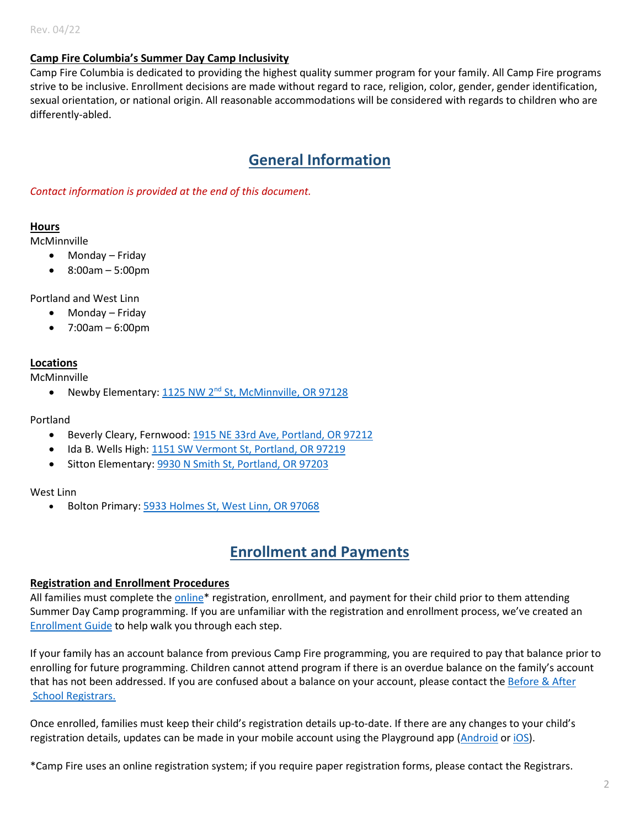#### **Camp Fire Columbia's Summer Day Camp Inclusivity**

Camp Fire Columbia is dedicated to providing the highest quality summer program for your family. All Camp Fire programs strive to be inclusive. Enrollment decisions are made without regard to race, religion, color, gender, gender identification, sexual orientation, or national origin. All reasonable accommodations will be considered with regards to children who are differently-abled.

### **General Information**

*[Contact information](#page-11-0) is provided at the end of this document.*

#### **Hours**

McMinnville

- Monday Friday
- 8:00am 5:00pm

Portland and West Linn

- Monday Friday
- 7:00am 6:00pm

#### <span id="page-1-0"></span>**Locations**

McMinnville

• Newby Elementary: 1125 NW 2<sup>nd</sup> [St, McMinnville, OR 97128](https://www.google.com/maps/place/Newby+Elementary+School/@45.2104657,-123.2112545,17z/data=!3m1!4b1!4m5!3m4!1s0x549548e1dc12055b:0x46cc68588f6fe631!8m2!3d45.2105509!4d-123.2090887)

#### Portland

- Beverly Cleary, Fernwood[: 1915 NE 33rd Ave, Portland, OR 97212](https://www.google.com/maps/place/Beverly+Cleary+School/@45.5369687,-122.7715734,11z/data=!4m9!1m2!2m1!1sfernwood+school!3m5!1s0x5495a0d1f69e5317:0xd0bbd8433db10728!8m2!3d45.5369687!4d-122.6314977!15sCg9mZXJud29vZCBzY2hvb2ySARFlbGVtZW50YXJ5X3NjaG9vbA)
- Ida B. Wells High: [1151 SW Vermont St, Portland, OR 97219](https://www.google.com/maps/place/Ida+B.+Wells-Barnett+High+School/@45.4772343,-122.6921328,17z/data=!3m1!4b1!4m5!3m4!1s0x54950b016cf115dd:0x5c60c252f12cd212!8m2!3d45.4772306!4d-122.6899441)
- Sitton Elementary[: 9930 N Smith St, Portland, OR 97203](https://www.google.com/maps/place/Sitton+Elementary+School/@45.6003071,-122.7601785,17z/data=!3m1!4b1!4m5!3m4!1s0x5495a81b8dfb17d9:0x2860c2a36fb6811d!8m2!3d45.6003061!4d-122.7579788)

#### West Linn

• Bolton Primary: [5933 Holmes St, West Linn, OR 97068](https://www.google.com/maps/place/Bolton+Primary+school/@45.3699223,-122.6211341,17z/data=!3m1!4b1!4m5!3m4!1s0x54957152b0bc5dd9:0x8df8db5479311c6e!8m2!3d45.3698476!4d-122.61902)

### **Enrollment and Payments**

#### **Registration and Enrollment Procedures**

All families must complete the online<sup>\*</sup> registration, enrollment, and payment for their child prior to them attending Summer Day Camp programming. If you are unfamiliar with the registration and enrollment process, we've created an [Enrollment Guide](https://campfirecolumbia.org/wp-content/uploads/2022/04/SDC-2022-Enrollment-Guide.pdf) to help walk you through each step.

If your family has an account balance from previous Camp Fire programming, you are required to pay that balance prior to enrolling for future programming. Children cannot attend program if there is an overdue balance on the family's account that has not been addressed. If you are confused about a balance on your account, please contact the Before & After School Registrars.

Once enrolled, families must keep their child's registration details up-to-date. If there are any changes to your child's registration details, updates can be made in your mobile account using the Playground app [\(Android](https://play.google.com/store/apps/details?id=com.afterschooldevelopment.carline&hl=en_US&gl=US) or [iOS\)](https://apps.apple.com/us/app/playground-school-management/id1486661197).

\*Camp Fire uses an online registration system; if you require paper registration forms, please contact the Registrars.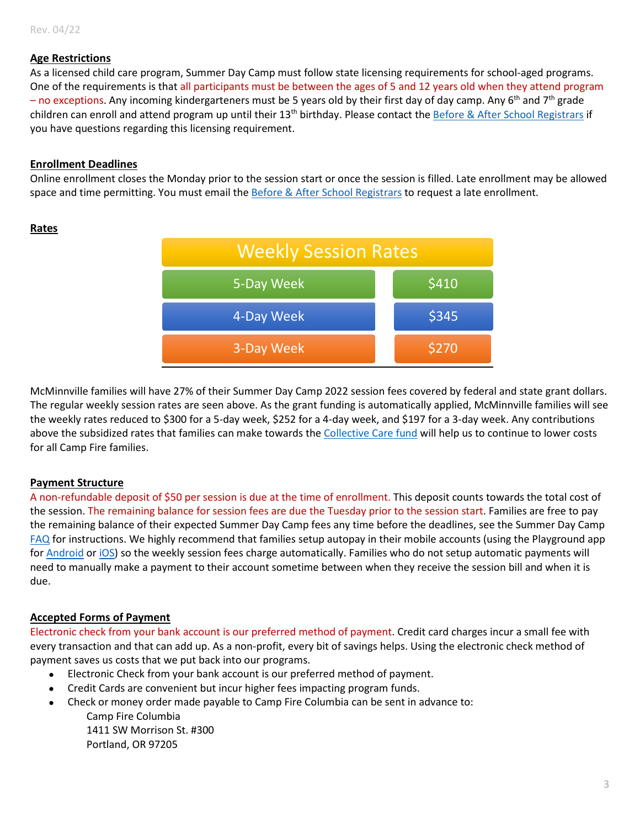#### **Age Restrictions**

As a licensed child care program, Summer Day Camp must follow state licensing requirements for school-aged programs. One of the requirements is that all participants must be between the ages of 5 and 12 years old when they attend program – no exceptions. Any incoming kindergarteners must be 5 years old by their first day of day camp. Any 6<sup>th</sup> and 7<sup>th</sup> grade children can enroll and attend program up until their 13<sup>th</sup> birthday. Please contact th[e Before & After School Registrars](#page-11-0) if you have questions regarding this licensing requirement.

#### **Enrollment Deadlines**

Online enrollment closes the Monday prior to the session start or once the session is filled. Late enrollment may be allowed space and time permitting. You must email th[e Before & After School Registrars](#page-11-0) to request a late enrollment.



<span id="page-2-2"></span>**Rates** 

<span id="page-2-0"></span>McMinnville families will have 27% of their Summer Day Camp 2022 session fees covered by federal and state grant dollars. The regular weekly session rates are seen above. As the grant funding is automatically applied, McMinnville families will see the weekly rates reduced to \$300 for a 5-day week, \$252 for a 4-day week, and \$197 for a 3-day week. Any contributions above the subsidized rates that families can make towards the [Collective Care fund](#page-4-0) will help us to continue to lower costs for all Camp Fire families.

#### **Payment Structure**

A non-refundable deposit of \$50 per session is due at the time of enrollment. This deposit counts towards the total cost of the session. The remaining balance for session fees are due the Tuesday prior to the session start. Families are free to pay the remaining balance of their expected Summer Day Camp fees any time before the deadlines, see the Summer Day Camp [FAQ](https://campfirecolumbia.org/wp-content/uploads/2022/04/SDC22-FAQ.pdf) for instructions. We highly recommend that families setup autopay in their mobile accounts (using the Playground app for [Android](https://play.google.com/store/apps/details?id=com.afterschooldevelopment.carline&hl=en_US&gl=US) or [iOS\)](https://apps.apple.com/us/app/playground-school-management/id1486661197) so the weekly session fees charge automatically. Families who do not setup automatic payments will need to manually make a payment to their account sometime between when they receive the session bill and when it is due.

#### **Accepted Forms of Payment**

Electronic check from your bank account is our preferred method of payment. Credit card charges incur a small fee with every transaction and that can add up. As a non-profit, every bit of savings helps. Using the electronic check method of payment saves us costs that we put back into our programs.

- Electronic Check from your bank account is our preferred method of payment.
- Credit Cards are convenient but incur higher fees impacting program funds.
- <span id="page-2-1"></span>• Check or money order made payable to Camp Fire Columbia can be sent in advance to: Camp Fire Columbia 1411 SW Morrison St. #300 Portland, OR 97205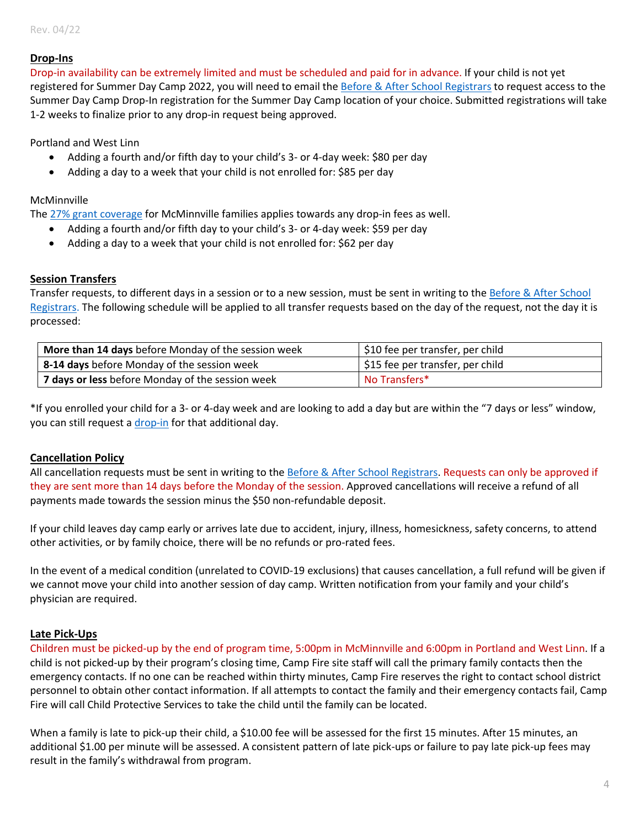#### **Drop-Ins**

Drop-in availability can be extremely limited and must be scheduled and paid for in advance. If your child is not yet registered for Summer Day Camp 2022, you will need to email the [Before & After School Registrars](#page-11-0) to request access to the Summer Day Camp Drop-In registration for the Summer Day Camp location of your choice. Submitted registrations will take 1-2 weeks to finalize prior to any drop-in request being approved.

Portland and West Linn

- Adding a fourth and/or fifth day to your child's 3- or 4-day week: \$80 per day
- Adding a day to a week that your child is not enrolled for: \$85 per day

#### McMinnville

The [27% grant coverage](#page-2-0) for McMinnville families applies towards any drop-in fees as well.

- Adding a fourth and/or fifth day to your child's 3- or 4-day week: \$59 per day
- Adding a day to a week that your child is not enrolled for: \$62 per day

#### **Session Transfers**

Transfer requests, to different days in a session or to a new session, must be sent in writing to the Before & After School [Registrars.](#page-11-0) The following schedule will be applied to all transfer requests based on the day of the request, not the day it is processed:

| More than 14 days before Monday of the session week | \$10 fee per transfer, per child |  |
|-----------------------------------------------------|----------------------------------|--|
| 8-14 days before Monday of the session week         | \$15 fee per transfer, per child |  |
| 7 days or less before Monday of the session week    | No Transfers*                    |  |

\*If you enrolled your child for a 3- or 4-day week and are looking to add a day but are within the "7 days or less" window, you can still request [a drop-in](#page-2-1) for that additional day.

#### **Cancellation Policy**

All cancellation requests must be sent in writing to the [Before & After School Registrars.](#page-11-0) Requests can only be approved if they are sent more than 14 days before the Monday of the session. Approved cancellations will receive a refund of all payments made towards the session minus the \$50 non-refundable deposit.

If your child leaves day camp early or arrives late due to accident, injury, illness, homesickness, safety concerns, to attend other activities, or by family choice, there will be no refunds or pro-rated fees.

In the event of a medical condition (unrelated to COVID-19 exclusions) that causes cancellation, a full refund will be given if we cannot move your child into another session of day camp. Written notification from your family and your child's physician are required.

#### **Late Pick-Ups**

Children must be picked-up by the end of program time, 5:00pm in McMinnville and 6:00pm in Portland and West Linn. If a child is not picked-up by their program's closing time, Camp Fire site staff will call the primary family contacts then the emergency contacts. If no one can be reached within thirty minutes, Camp Fire reserves the right to contact school district personnel to obtain other contact information. If all attempts to contact the family and their emergency contacts fail, Camp Fire will call Child Protective Services to take the child until the family can be located.

When a family is late to pick-up their child, a \$10.00 fee will be assessed for the first 15 minutes. After 15 minutes, an additional \$1.00 per minute will be assessed. A consistent pattern of late pick-ups or failure to pay late pick-up fees may result in the family's withdrawal from program.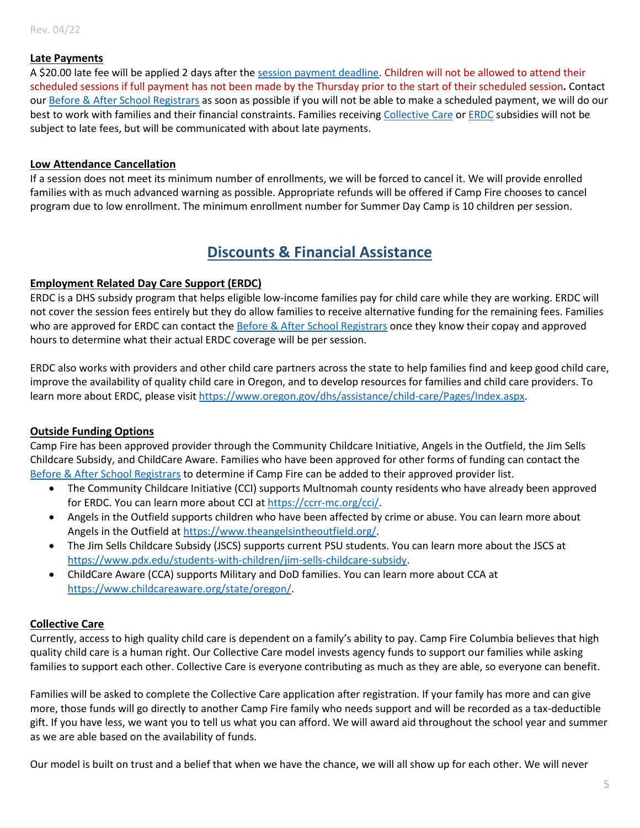#### **Late Payments**

A \$20.00 late fee will be applied 2 days after th[e session payment deadline.](#page-2-2) Children will not be allowed to attend their scheduled sessions if full payment has not been made by the Thursday prior to the start of their scheduled session**.** Contact ou[r Before & After School Registrars](#page-11-0) as soon as possible if you will not be able to make a scheduled payment, we will do our best to work with families and their financial constraints. Families receiving [Collective Care](#page-4-0) or [ERDC](#page-4-1) subsidies will not be subject to late fees, but will be communicated with about late payments.

#### **Low Attendance Cancellation**

If a session does not meet its minimum number of enrollments, we will be forced to cancel it. We will provide enrolled families with as much advanced warning as possible. Appropriate refunds will be offered if Camp Fire chooses to cancel program due to low enrollment. The minimum enrollment number for Summer Day Camp is 10 children per session.

### **Discounts & Financial Assistance**

#### <span id="page-4-1"></span>**Employment Related Day Care Support (ERDC)**

ERDC is a DHS subsidy program that helps eligible low-income families pay for child care while they are working. ERDC will not cover the session fees entirely but they do allow families to receive alternative funding for the remaining fees. Families who are approved for ERDC can contact th[e Before & After School Registrars](#page-11-0) once they know their copay and approved hours to determine what their actual ERDC coverage will be per session.

ERDC also works with providers and other child care partners across the state to help families find and keep good child care, improve the availability of quality child care in Oregon, and to develop resources for families and child care providers. To learn more about ERDC, please visit [https://www.oregon.gov/dhs/assistance/child-care/Pages/Index.aspx.](https://www.oregon.gov/dhs/assistance/child-care/Pages/Index.aspx)

#### **Outside Funding Options**

Camp Fire has been approved provider through the Community Childcare Initiative, Angels in the Outfield, the Jim Sells Childcare Subsidy, and ChildCare Aware. Families who have been approved for other forms of funding can contact the [Before & After School Registrars](#page-11-0) to determine if Camp Fire can be added to their approved provider list.

- The Community Childcare Initiative (CCI) supports Multnomah county residents who have already been approved for ERDC. You can learn more about CCI at [https://ccrr-mc.org/cci/.](https://ccrr-mc.org/cci/)
- Angels in the Outfield supports children who have been affected by crime or abuse. You can learn more about Angels in the Outfield a[t https://www.theangelsintheoutfield.org/.](https://www.theangelsintheoutfield.org/)
- The Jim Sells Childcare Subsidy (JSCS) supports current PSU students. You can learn more about the JSCS at [https://www.pdx.edu/students-with-children/jim-sells-childcare-subsidy.](https://www.pdx.edu/students-with-children/jim-sells-childcare-subsidy)
- ChildCare Aware (CCA) supports Military and DoD families. You can learn more about CCA at [https://www.childcareaware.org/state/oregon/.](https://www.childcareaware.org/state/oregon/)

#### <span id="page-4-0"></span>**Collective Care**

Currently, access to high quality child care is dependent on a family's ability to pay. Camp Fire Columbia believes that high quality child care is a human right. Our Collective Care model invests agency funds to support our families while asking families to support each other. Collective Care is everyone contributing as much as they are able, so everyone can benefit.

Families will be asked to complete the Collective Care application after registration. If your family has more and can give more, those funds will go directly to another Camp Fire family who needs support and will be recorded as a tax-deductible gift. If you have less, we want you to tell us what you can afford. We will award aid throughout the school year and summer as we are able based on the availability of funds.

Our model is built on trust and a belief that when we have the chance, we will all show up for each other. We will never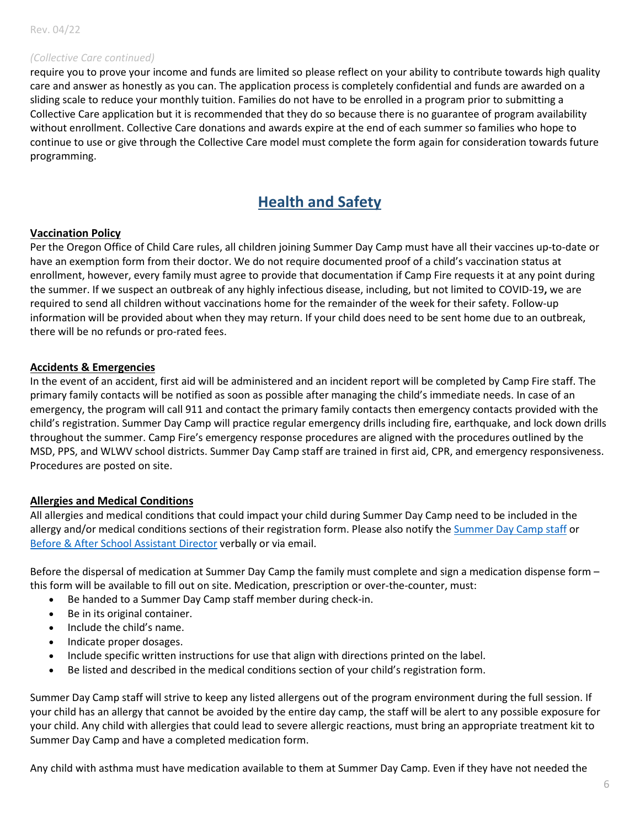#### *(Collective Care continued)*

require you to prove your income and funds are limited so please reflect on your ability to contribute towards high quality care and answer as honestly as you can. The application process is completely confidential and funds are awarded on a sliding scale to reduce your monthly tuition. Families do not have to be enrolled in a program prior to submitting a Collective Care application but it is recommended that they do so because there is no guarantee of program availability without enrollment. Collective Care donations and awards expire at the end of each summer so families who hope to continue to use or give through the Collective Care model must complete the form again for consideration towards future programming.

### **Health and Safety**

#### **Vaccination Policy**

Per the Oregon Office of Child Care rules, all children joining Summer Day Camp must have all their vaccines up-to-date or have an exemption form from their doctor. We do not require documented proof of a child's vaccination status at enrollment, however, every family must agree to provide that documentation if Camp Fire requests it at any point during the summer. If we suspect an outbreak of any highly infectious disease, including, but not limited to COVID-19**,** we are required to send all children without vaccinations home for the remainder of the week for their safety. Follow-up information will be provided about when they may return. If your child does need to be sent home due to an outbreak, there will be no refunds or pro-rated fees.

#### **Accidents & Emergencies**

In the event of an accident, first aid will be administered and an incident report will be completed by Camp Fire staff. The primary family contacts will be notified as soon as possible after managing the child's immediate needs. In case of an emergency, the program will call 911 and contact the primary family contacts then emergency contacts provided with the child's registration. Summer Day Camp will practice regular emergency drills including fire, earthquake, and lock down drills throughout the summer. Camp Fire's emergency response procedures are aligned with the procedures outlined by the MSD, PPS, and WLWV school districts. Summer Day Camp staff are trained in first aid, CPR, and emergency responsiveness. Procedures are posted on site.

#### **Allergies and Medical Conditions**

All allergies and medical conditions that could impact your child during Summer Day Camp need to be included in the allergy and/or medical conditions sections of their registration form. Please also notify the [Summer Day Camp staff](#page-11-0) or [Before & After School Assistant Director](#page-11-0) verbally or via email.

Before the dispersal of medication at Summer Day Camp the family must complete and sign a medication dispense form – this form will be available to fill out on site. Medication, prescription or over-the-counter, must:

- Be handed to a Summer Day Camp staff member during check-in.
- Be in its original container.
- Include the child's name.
- Indicate proper dosages.
- Include specific written instructions for use that align with directions printed on the label.
- Be listed and described in the medical conditions section of your child's registration form.

Summer Day Camp staff will strive to keep any listed allergens out of the program environment during the full session. If your child has an allergy that cannot be avoided by the entire day camp, the staff will be alert to any possible exposure for your child. Any child with allergies that could lead to severe allergic reactions, must bring an appropriate treatment kit to Summer Day Camp and have a completed medication form.

Any child with asthma must have medication available to them at Summer Day Camp. Even if they have not needed the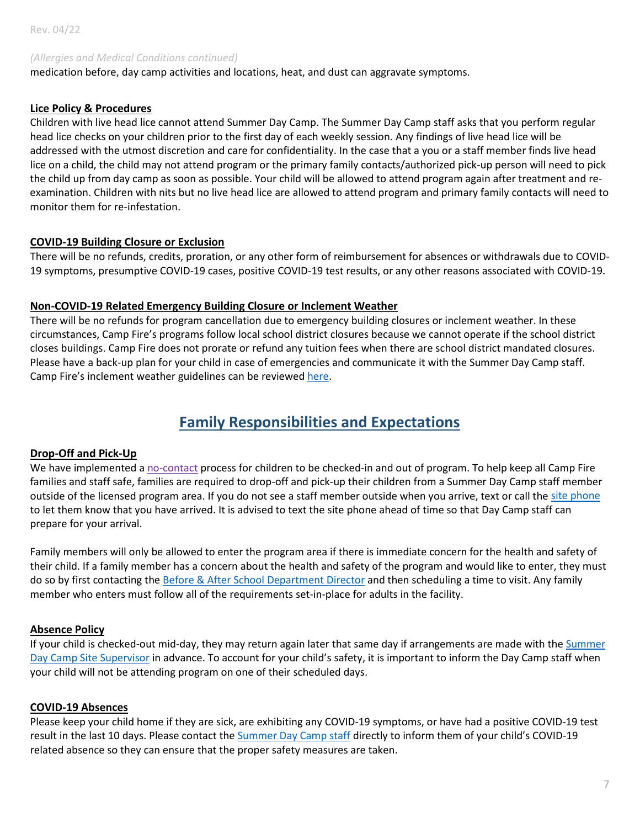#### *(Allergies and Medical Conditions continued)*

medication before, day camp activities and locations, heat, and dust can aggravate symptoms.

#### **Lice Policy & Procedures**

Children with live head lice cannot attend Summer Day Camp. The Summer Day Camp staff asks that you perform regular head lice checks on your children prior to the first day of each weekly session. Any findings of live head lice will be addressed with the utmost discretion and care for confidentiality. In the case that a you or a staff member finds live head lice on a child, the child may not attend program or the primary family contacts/authorized pick-up person will need to pick the child up from day camp as soon as possible. Your child will be allowed to attend program again after treatment and reexamination. Children with nits but no live head lice are allowed to attend program and primary family contacts will need to monitor them for re-infestation.

#### **COVID-19 Building Closure or Exclusion**

There will be no refunds, credits, proration, or any other form of reimbursement for absences or withdrawals due to COVID-19 symptoms, presumptive COVID-19 cases, positive COVID-19 test results, or any other reasons associated with COVID-19.

#### **Non-COVID-19 Related Emergency Building Closure or Inclement Weather**

There will be no refunds for program cancellation due to emergency building closures or inclement weather. In these circumstances, Camp Fire's programs follow local school district closures because we cannot operate if the school district closes buildings. Camp Fire does not prorate or refund any tuition fees when there are school district mandated closures. Please have a back-up plan for your child in case of emergencies and communicate it with the Summer Day Camp staff. Camp Fire's inclement weather guidelines can be reviewed [here.](https://campfirecolumbia.org/inclement-weather/)

### **Family Responsibilities and Expectations**

#### **Drop-Off and Pick-Up**

We have implemented a no-contact process for children to be checked-in and out of program. To help keep all Camp Fire families and staff safe, families are required to drop-off and pick-up their children from a Summer Day Camp staff member outside of the licensed program area. If you do not see a staff member outside when you arrive, text or call the [site phone](#page-11-0) to let them know that you have arrived. It is advised to text the site phone ahead of time so that Day Camp staff can prepare for your arrival.

Family members will only be allowed to enter the program area if there is immediate concern for the health and safety of their child. If a family member has a concern about the health and safety of the program and would like to enter, they must do so by first contacting the [Before & After School Department Director](#page-11-0) and then scheduling a time to visit. Any family member who enters must follow all of the requirements set-in-place for adults in the facility.

#### **Absence Policy**

If your child is checked-out mid-day, they may return again later that same day if arrangements are made with the Summer Day Camp [Site Supervisor](#page-11-0) in advance. To account for your child's safety, it is important to inform the Day Camp staff when your child will not be attending program on one of their scheduled days.

#### **COVID-19 Absences**

Please keep your child home if they are sick, are exhibiting any COVID-19 symptoms, or have had a positive COVID-19 test result in the last 10 days. Please contact the [Summer Day Camp staff](#page-11-0) directly to inform them of your child's COVID-19 related absence so they can ensure that the proper safety measures are taken.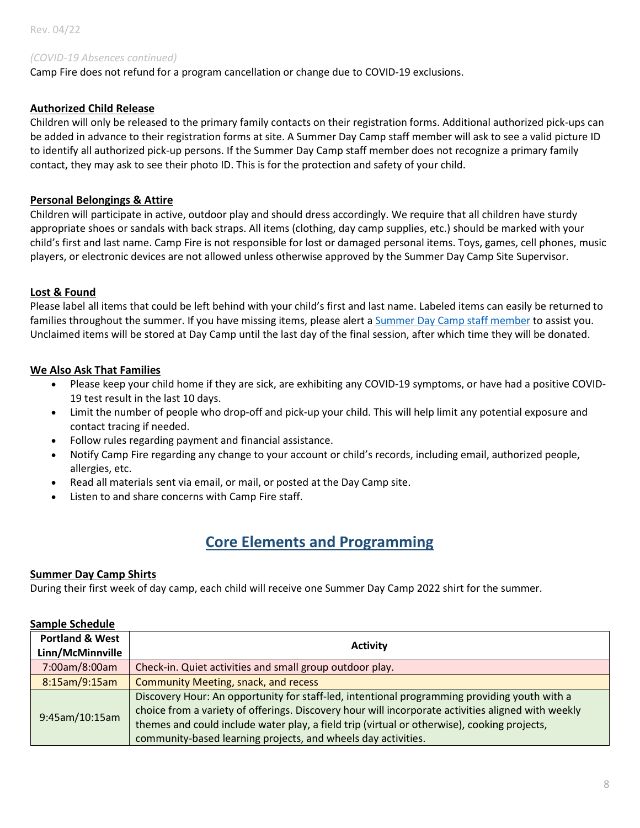#### *(COVID-19 Absences continued)*

Camp Fire does not refund for a program cancellation or change due to COVID-19 exclusions.

#### **Authorized Child Release**

Children will only be released to the primary family contacts on their registration forms. Additional authorized pick-ups can be added in advance to their registration forms at site. A Summer Day Camp staff member will ask to see a valid picture ID to identify all authorized pick-up persons. If the Summer Day Camp staff member does not recognize a primary family contact, they may ask to see their photo ID. This is for the protection and safety of your child.

#### **Personal Belongings & Attire**

Children will participate in active, outdoor play and should dress accordingly. We require that all children have sturdy appropriate shoes or sandals with back straps. All items (clothing, day camp supplies, etc.) should be marked with your child's first and last name. Camp Fire is not responsible for lost or damaged personal items. Toys, games, cell phones, music players, or electronic devices are not allowed unless otherwise approved by the Summer Day Camp Site Supervisor.

#### **Lost & Found**

Please label all items that could be left behind with your child's first and last name. Labeled items can easily be returned to families throughout the summer. If you have missing items, please alert a [Summer Day Camp staff member](#page-11-0) to assist you. Unclaimed items will be stored at Day Camp until the last day of the final session, after which time they will be donated.

#### **We Also Ask That Families**

- Please keep your child home if they are sick, are exhibiting any COVID-19 symptoms, or have had a positive COVID-19 test result in the last 10 days.
- Limit the number of people who drop-off and pick-up your child. This will help limit any potential exposure and contact tracing if needed.
- Follow rules regarding payment and financial assistance.
- Notify Camp Fire regarding any change to your account or child's records, including email, authorized people, allergies, etc.
- Read all materials sent via email, or mail, or posted at the Day Camp site.
- Listen to and share concerns with Camp Fire staff.

### **Core Elements and Programming**

#### **Summer Day Camp Shirts**

During their first week of day camp, each child will receive one Summer Day Camp 2022 shirt for the summer.

#### **Sample Schedule**

| <b>Portland &amp; West</b><br>Linn/McMinnville | <b>Activity</b>                                                                                                                                                                                                                                                                                                                                                    |  |
|------------------------------------------------|--------------------------------------------------------------------------------------------------------------------------------------------------------------------------------------------------------------------------------------------------------------------------------------------------------------------------------------------------------------------|--|
| 7:00am/8:00am                                  | Check-in. Quiet activities and small group outdoor play.                                                                                                                                                                                                                                                                                                           |  |
| 8:15am/9:15am                                  | <b>Community Meeting, snack, and recess</b>                                                                                                                                                                                                                                                                                                                        |  |
| 9:45am/10:15am                                 | Discovery Hour: An opportunity for staff-led, intentional programming providing youth with a<br>choice from a variety of offerings. Discovery hour will incorporate activities aligned with weekly<br>themes and could include water play, a field trip (virtual or otherwise), cooking projects,<br>community-based learning projects, and wheels day activities. |  |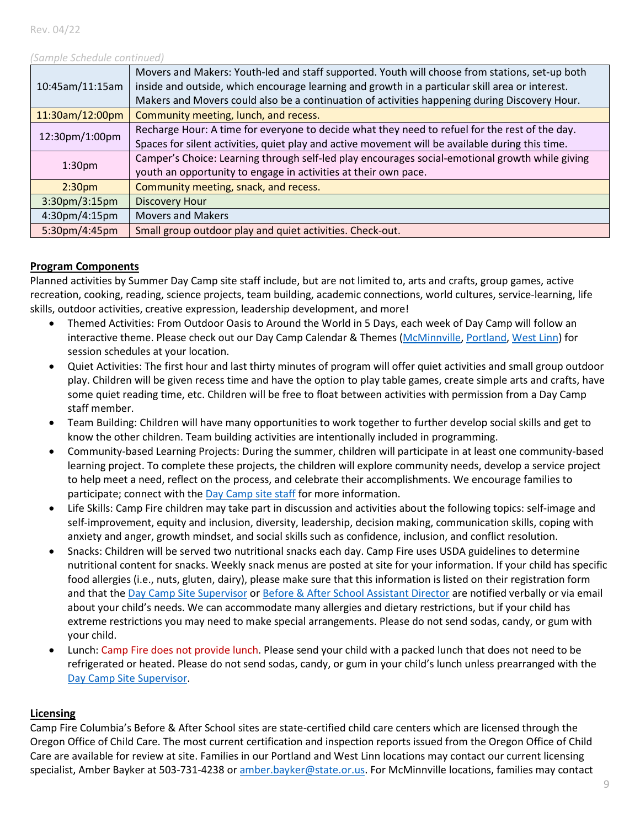#### *(Sample Schedule continued)*

| 10:45am/11:15am                 | Movers and Makers: Youth-led and staff supported. Youth will choose from stations, set-up both<br>inside and outside, which encourage learning and growth in a particular skill area or interest. |  |  |
|---------------------------------|---------------------------------------------------------------------------------------------------------------------------------------------------------------------------------------------------|--|--|
|                                 | Makers and Movers could also be a continuation of activities happening during Discovery Hour.                                                                                                     |  |  |
| 11:30am/12:00pm                 | Community meeting, lunch, and recess.                                                                                                                                                             |  |  |
| 12:30pm/1:00pm                  | Recharge Hour: A time for everyone to decide what they need to refuel for the rest of the day.                                                                                                    |  |  |
|                                 | Spaces for silent activities, quiet play and active movement will be available during this time.                                                                                                  |  |  |
| 1:30 <sub>pm</sub>              | Camper's Choice: Learning through self-led play encourages social-emotional growth while giving                                                                                                   |  |  |
|                                 | youth an opportunity to engage in activities at their own pace.                                                                                                                                   |  |  |
| 2:30 <sub>pm</sub>              | Community meeting, snack, and recess.                                                                                                                                                             |  |  |
| $3:30 \text{pm}/3:15 \text{pm}$ | <b>Discovery Hour</b>                                                                                                                                                                             |  |  |
| 4:30pm/4:15pm                   | <b>Movers and Makers</b>                                                                                                                                                                          |  |  |
| 5:30pm/4:45pm                   | Small group outdoor play and quiet activities. Check-out.                                                                                                                                         |  |  |

#### **Program Components**

Planned activities by Summer Day Camp site staff include, but are not limited to, arts and crafts, group games, active recreation, cooking, reading, science projects, team building, academic connections, world cultures, service-learning, life skills, outdoor activities, creative expression, leadership development, and more!

- Themed Activities: From Outdoor Oasis to Around the World in 5 Days, each week of Day Camp will follow an interactive theme. Please check out our Day Camp Calendar & Themes [\(McMinnville,](https://campfirecolumbia.org/wp-content/uploads/2022/04/MDC22-Calendar-Themes.pdf) [Portland,](https://campfirecolumbia.org/wp-content/uploads/2022/04/PDC22-Calendar-Themes.pdf) [West Linn\)](https://campfirecolumbia.org/wp-content/uploads/2022/04/WLDC22-Calendar-Themes.pdf) for session schedules at your location.
- Quiet Activities: The first hour and last thirty minutes of program will offer quiet activities and small group outdoor play. Children will be given recess time and have the option to play table games, create simple arts and crafts, have some quiet reading time, etc. Children will be free to float between activities with permission from a Day Camp staff member.
- Team Building: Children will have many opportunities to work together to further develop social skills and get to know the other children. Team building activities are intentionally included in programming.
- Community-based Learning Projects: During the summer, children will participate in at least one community-based learning project. To complete these projects, the children will explore community needs, develop a service project to help meet a need, reflect on the process, and celebrate their accomplishments. We encourage families to participate; connect with the [Day Camp site staff](#page-11-0) for more information.
- Life Skills: Camp Fire children may take part in discussion and activities about the following topics: self-image and self-improvement, equity and inclusion, diversity, leadership, decision making, communication skills, coping with anxiety and anger, growth mindset, and social skills such as confidence, inclusion, and conflict resolution.
- Snacks: Children will be served two nutritional snacks each day. Camp Fire uses USDA guidelines to determine nutritional content for snacks. Weekly snack menus are posted at site for your information. If your child has specific food allergies (i.e., nuts, gluten, dairy), please make sure that this information is listed on their registration form and that the [Day Camp Site](#page-11-0) Supervisor or [Before & After School Assistant Director a](#page-11-0)re notified verbally or via email about your child's needs. We can accommodate many allergies and dietary restrictions, but if your child has extreme restrictions you may need to make special arrangements. Please do not send sodas, candy, or gum with your child.
- Lunch: Camp Fire does not provide lunch. Please send your child with a packed lunch that does not need to be refrigerated or heated. Please do not send sodas, candy, or gum in your child's lunch unless prearranged with the [Day Camp Site Supervisor.](#page-11-0)

#### **Licensing**

Camp Fire Columbia's Before & After School sites are state-certified child care centers which are licensed through the Oregon Office of Child Care. The most current certification and inspection reports issued from the Oregon Office of Child Care are available for review at site. Families in our Portland and West Linn locations may contact our current licensing specialist, Amber Bayker at 503-731-4238 or [amber.bayker@state.or.us.](mailto:amber.bayker@state.or.us) For McMinnville locations, families may contact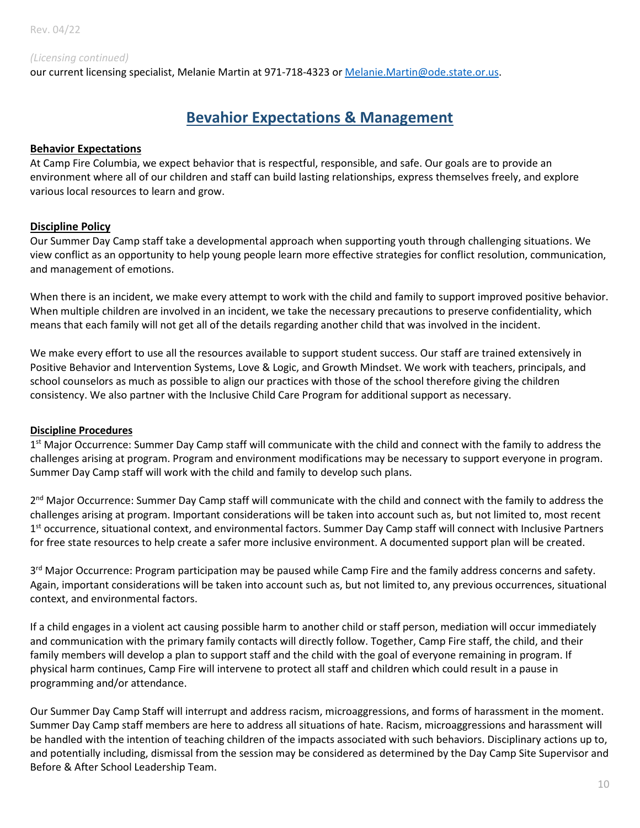#### *(Licensing continued)*

our current licensing specialist, Melanie Martin at 971-718-4323 or [Melanie.Martin@ode.state.or.us.](mailto:Melanie.Martin@ode.state.or.us)

### **Bevahior Expectations & Management**

#### **Behavior Expectations**

At Camp Fire Columbia, we expect behavior that is respectful, responsible, and safe. Our goals are to provide an environment where all of our children and staff can build lasting relationships, express themselves freely, and explore various local resources to learn and grow.

#### **Discipline Policy**

Our Summer Day Camp staff take a developmental approach when supporting youth through challenging situations. We view conflict as an opportunity to help young people learn more effective strategies for conflict resolution, communication, and management of emotions.

When there is an incident, we make every attempt to work with the child and family to support improved positive behavior. When multiple children are involved in an incident, we take the necessary precautions to preserve confidentiality, which means that each family will not get all of the details regarding another child that was involved in the incident.

We make every effort to use all the resources available to support student success. Our staff are trained extensively in Positive Behavior and Intervention Systems, Love & Logic, and Growth Mindset. We work with teachers, principals, and school counselors as much as possible to align our practices with those of the school therefore giving the children consistency. We also partner with the Inclusive Child Care Program for additional support as necessary.

#### **Discipline Procedures**

1<sup>st</sup> Major Occurrence: Summer Day Camp staff will communicate with the child and connect with the family to address the challenges arising at program. Program and environment modifications may be necessary to support everyone in program. Summer Day Camp staff will work with the child and family to develop such plans.

2<sup>nd</sup> Major Occurrence: Summer Day Camp staff will communicate with the child and connect with the family to address the challenges arising at program. Important considerations will be taken into account such as, but not limited to, most recent 1<sup>st</sup> occurrence, situational context, and environmental factors. Summer Day Camp staff will connect with Inclusive Partners for free state resources to help create a safer more inclusive environment. A documented support plan will be created.

3<sup>rd</sup> Major Occurrence: Program participation may be paused while Camp Fire and the family address concerns and safety. Again, important considerations will be taken into account such as, but not limited to, any previous occurrences, situational context, and environmental factors.

If a child engages in a violent act causing possible harm to another child or staff person, mediation will occur immediately and communication with the primary family contacts will directly follow. Together, Camp Fire staff, the child, and their family members will develop a plan to support staff and the child with the goal of everyone remaining in program. If physical harm continues, Camp Fire will intervene to protect all staff and children which could result in a pause in programming and/or attendance.

Our Summer Day Camp Staff will interrupt and address racism, microaggressions, and forms of harassment in the moment. Summer Day Camp staff members are here to address all situations of hate. Racism, microaggressions and harassment will be handled with the intention of teaching children of the impacts associated with such behaviors. Disciplinary actions up to, and potentially including, dismissal from the session may be considered as determined by the Day Camp Site Supervisor and Before & After School Leadership Team.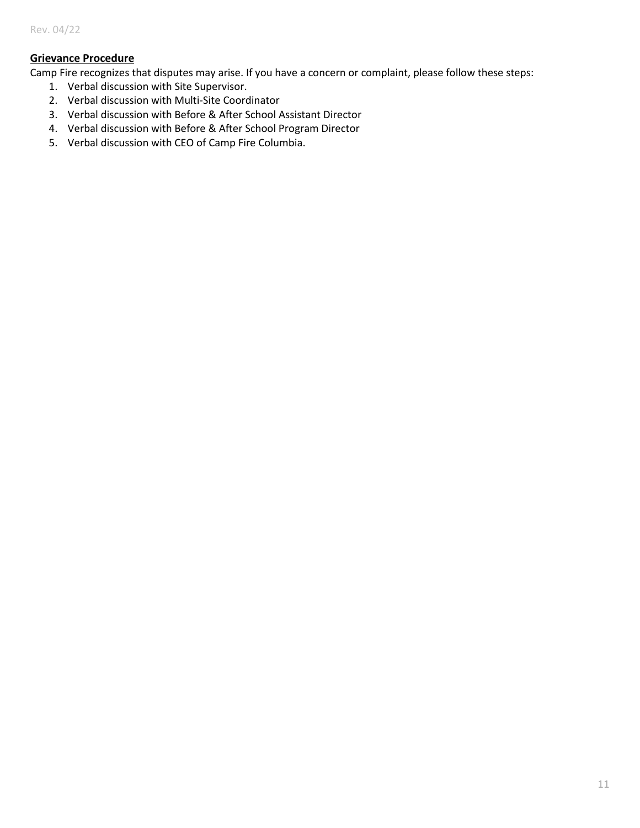#### **Grievance Procedure**

Camp Fire recognizes that disputes may arise. If you have a concern or complaint, please follow these steps:

- 1. Verbal discussion with Site Supervisor.
- 2. Verbal discussion with Multi-Site Coordinator
- 3. Verbal discussion with Before & After School Assistant Director
- 4. Verbal discussion with Before & After School Program Director
- 5. Verbal discussion with CEO of Camp Fire Columbia.